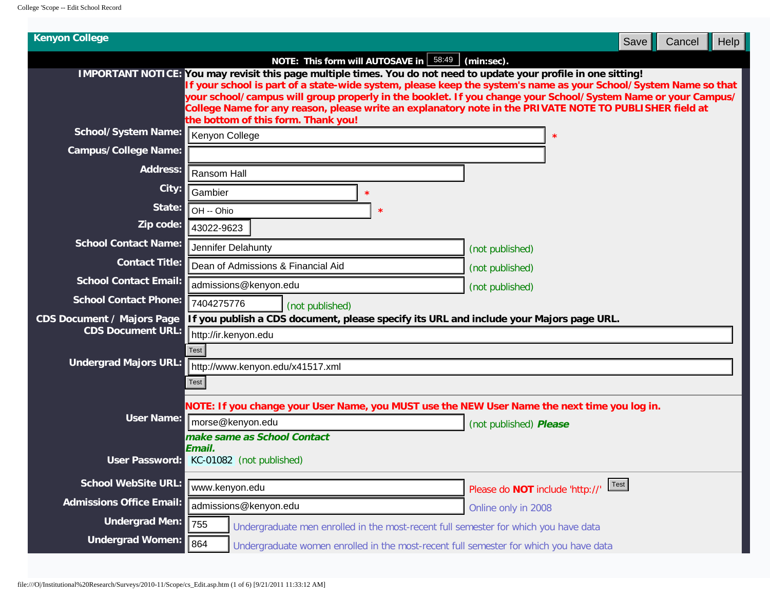| NOTE: This form will AUTOSAVE in   58:49  <br>$(min:sec)$ .<br>IMPORTANT NOTICE: You may revisit this page multiple times. You do not need to update your profile in one sitting!<br>lf your school is part of a state-wide system, please keep the system's name as your School/System Name so that<br>your school/campus will group properly in the booklet. If you change your School/System Name or your Campus/<br>College Name for any reason, please write an explanatory note in the PRIVATE NOTE TO PUBLISHER field at<br>the bottom of this form. Thank you!<br><b>School/System Name:</b><br>Kenyon College<br><b>Campus/College Name:</b><br>Address:<br>Ransom Hall<br>City:<br>Gambier<br>State:<br>OH -- Ohio<br>×<br>Zip code:<br>43022-9623<br><b>School Contact Name:</b><br>Jennifer Delahunty<br>(not published)<br><b>Contact Title:</b><br>Dean of Admissions & Financial Aid<br>(not published)<br><b>School Contact Email:</b><br>admissions@kenyon.edu<br>(not published)<br><b>School Contact Phone:</b><br>7404275776<br>(not published)<br><b>CDS Document / Majors Page</b><br>If you publish a CDS document, please specify its URL and include your Majors page URL.<br><b>CDS Document URL:</b><br>http://ir.kenyon.edu<br><b>Test</b><br><b>Undergrad Majors URL:</b><br>http://www.kenyon.edu/x41517.xml<br>Test<br>NOTE: If you change your User Name, you MUST use the NEW User Name the next time you log in.<br><b>User Name:</b><br>morse@kenyon.edu<br>(not published) Please<br>make same as School Contact<br>Email.<br>User Password:<br>KC-01082 (not published)<br><b>School WebSite URL:</b><br>Test<br>www.kenyon.edu<br>Please do NOT include 'http://'<br><b>Admissions Office Email:</b><br>admissions@kenyon.edu<br>Online only in 2008<br><b>Undergrad Men:</b><br>755<br>Undergraduate men enrolled in the most-recent full semester for which you have data<br><b>Undergrad Women:</b><br>864<br>Undergraduate women enrolled in the most-recent full semester for which you have data | <b>Kenyon College</b> | Cancel<br>Help<br>Save |
|----------------------------------------------------------------------------------------------------------------------------------------------------------------------------------------------------------------------------------------------------------------------------------------------------------------------------------------------------------------------------------------------------------------------------------------------------------------------------------------------------------------------------------------------------------------------------------------------------------------------------------------------------------------------------------------------------------------------------------------------------------------------------------------------------------------------------------------------------------------------------------------------------------------------------------------------------------------------------------------------------------------------------------------------------------------------------------------------------------------------------------------------------------------------------------------------------------------------------------------------------------------------------------------------------------------------------------------------------------------------------------------------------------------------------------------------------------------------------------------------------------------------------------------------------------------------------------------------------------------------------------------------------------------------------------------------------------------------------------------------------------------------------------------------------------------------------------------------------------------------------------------------------------------------------------------------------------------------------------------------------------------------------------------------|-----------------------|------------------------|
|                                                                                                                                                                                                                                                                                                                                                                                                                                                                                                                                                                                                                                                                                                                                                                                                                                                                                                                                                                                                                                                                                                                                                                                                                                                                                                                                                                                                                                                                                                                                                                                                                                                                                                                                                                                                                                                                                                                                                                                                                                              |                       |                        |
|                                                                                                                                                                                                                                                                                                                                                                                                                                                                                                                                                                                                                                                                                                                                                                                                                                                                                                                                                                                                                                                                                                                                                                                                                                                                                                                                                                                                                                                                                                                                                                                                                                                                                                                                                                                                                                                                                                                                                                                                                                              |                       |                        |
|                                                                                                                                                                                                                                                                                                                                                                                                                                                                                                                                                                                                                                                                                                                                                                                                                                                                                                                                                                                                                                                                                                                                                                                                                                                                                                                                                                                                                                                                                                                                                                                                                                                                                                                                                                                                                                                                                                                                                                                                                                              |                       |                        |
|                                                                                                                                                                                                                                                                                                                                                                                                                                                                                                                                                                                                                                                                                                                                                                                                                                                                                                                                                                                                                                                                                                                                                                                                                                                                                                                                                                                                                                                                                                                                                                                                                                                                                                                                                                                                                                                                                                                                                                                                                                              |                       |                        |
|                                                                                                                                                                                                                                                                                                                                                                                                                                                                                                                                                                                                                                                                                                                                                                                                                                                                                                                                                                                                                                                                                                                                                                                                                                                                                                                                                                                                                                                                                                                                                                                                                                                                                                                                                                                                                                                                                                                                                                                                                                              |                       |                        |
|                                                                                                                                                                                                                                                                                                                                                                                                                                                                                                                                                                                                                                                                                                                                                                                                                                                                                                                                                                                                                                                                                                                                                                                                                                                                                                                                                                                                                                                                                                                                                                                                                                                                                                                                                                                                                                                                                                                                                                                                                                              |                       |                        |
|                                                                                                                                                                                                                                                                                                                                                                                                                                                                                                                                                                                                                                                                                                                                                                                                                                                                                                                                                                                                                                                                                                                                                                                                                                                                                                                                                                                                                                                                                                                                                                                                                                                                                                                                                                                                                                                                                                                                                                                                                                              |                       |                        |
|                                                                                                                                                                                                                                                                                                                                                                                                                                                                                                                                                                                                                                                                                                                                                                                                                                                                                                                                                                                                                                                                                                                                                                                                                                                                                                                                                                                                                                                                                                                                                                                                                                                                                                                                                                                                                                                                                                                                                                                                                                              |                       |                        |
|                                                                                                                                                                                                                                                                                                                                                                                                                                                                                                                                                                                                                                                                                                                                                                                                                                                                                                                                                                                                                                                                                                                                                                                                                                                                                                                                                                                                                                                                                                                                                                                                                                                                                                                                                                                                                                                                                                                                                                                                                                              |                       |                        |
|                                                                                                                                                                                                                                                                                                                                                                                                                                                                                                                                                                                                                                                                                                                                                                                                                                                                                                                                                                                                                                                                                                                                                                                                                                                                                                                                                                                                                                                                                                                                                                                                                                                                                                                                                                                                                                                                                                                                                                                                                                              |                       |                        |
|                                                                                                                                                                                                                                                                                                                                                                                                                                                                                                                                                                                                                                                                                                                                                                                                                                                                                                                                                                                                                                                                                                                                                                                                                                                                                                                                                                                                                                                                                                                                                                                                                                                                                                                                                                                                                                                                                                                                                                                                                                              |                       |                        |
|                                                                                                                                                                                                                                                                                                                                                                                                                                                                                                                                                                                                                                                                                                                                                                                                                                                                                                                                                                                                                                                                                                                                                                                                                                                                                                                                                                                                                                                                                                                                                                                                                                                                                                                                                                                                                                                                                                                                                                                                                                              |                       |                        |
|                                                                                                                                                                                                                                                                                                                                                                                                                                                                                                                                                                                                                                                                                                                                                                                                                                                                                                                                                                                                                                                                                                                                                                                                                                                                                                                                                                                                                                                                                                                                                                                                                                                                                                                                                                                                                                                                                                                                                                                                                                              |                       |                        |
|                                                                                                                                                                                                                                                                                                                                                                                                                                                                                                                                                                                                                                                                                                                                                                                                                                                                                                                                                                                                                                                                                                                                                                                                                                                                                                                                                                                                                                                                                                                                                                                                                                                                                                                                                                                                                                                                                                                                                                                                                                              |                       |                        |
|                                                                                                                                                                                                                                                                                                                                                                                                                                                                                                                                                                                                                                                                                                                                                                                                                                                                                                                                                                                                                                                                                                                                                                                                                                                                                                                                                                                                                                                                                                                                                                                                                                                                                                                                                                                                                                                                                                                                                                                                                                              |                       |                        |
|                                                                                                                                                                                                                                                                                                                                                                                                                                                                                                                                                                                                                                                                                                                                                                                                                                                                                                                                                                                                                                                                                                                                                                                                                                                                                                                                                                                                                                                                                                                                                                                                                                                                                                                                                                                                                                                                                                                                                                                                                                              |                       |                        |
|                                                                                                                                                                                                                                                                                                                                                                                                                                                                                                                                                                                                                                                                                                                                                                                                                                                                                                                                                                                                                                                                                                                                                                                                                                                                                                                                                                                                                                                                                                                                                                                                                                                                                                                                                                                                                                                                                                                                                                                                                                              |                       |                        |
|                                                                                                                                                                                                                                                                                                                                                                                                                                                                                                                                                                                                                                                                                                                                                                                                                                                                                                                                                                                                                                                                                                                                                                                                                                                                                                                                                                                                                                                                                                                                                                                                                                                                                                                                                                                                                                                                                                                                                                                                                                              |                       |                        |
|                                                                                                                                                                                                                                                                                                                                                                                                                                                                                                                                                                                                                                                                                                                                                                                                                                                                                                                                                                                                                                                                                                                                                                                                                                                                                                                                                                                                                                                                                                                                                                                                                                                                                                                                                                                                                                                                                                                                                                                                                                              |                       |                        |
|                                                                                                                                                                                                                                                                                                                                                                                                                                                                                                                                                                                                                                                                                                                                                                                                                                                                                                                                                                                                                                                                                                                                                                                                                                                                                                                                                                                                                                                                                                                                                                                                                                                                                                                                                                                                                                                                                                                                                                                                                                              |                       |                        |
|                                                                                                                                                                                                                                                                                                                                                                                                                                                                                                                                                                                                                                                                                                                                                                                                                                                                                                                                                                                                                                                                                                                                                                                                                                                                                                                                                                                                                                                                                                                                                                                                                                                                                                                                                                                                                                                                                                                                                                                                                                              |                       |                        |
|                                                                                                                                                                                                                                                                                                                                                                                                                                                                                                                                                                                                                                                                                                                                                                                                                                                                                                                                                                                                                                                                                                                                                                                                                                                                                                                                                                                                                                                                                                                                                                                                                                                                                                                                                                                                                                                                                                                                                                                                                                              |                       |                        |
|                                                                                                                                                                                                                                                                                                                                                                                                                                                                                                                                                                                                                                                                                                                                                                                                                                                                                                                                                                                                                                                                                                                                                                                                                                                                                                                                                                                                                                                                                                                                                                                                                                                                                                                                                                                                                                                                                                                                                                                                                                              |                       |                        |
|                                                                                                                                                                                                                                                                                                                                                                                                                                                                                                                                                                                                                                                                                                                                                                                                                                                                                                                                                                                                                                                                                                                                                                                                                                                                                                                                                                                                                                                                                                                                                                                                                                                                                                                                                                                                                                                                                                                                                                                                                                              |                       |                        |
|                                                                                                                                                                                                                                                                                                                                                                                                                                                                                                                                                                                                                                                                                                                                                                                                                                                                                                                                                                                                                                                                                                                                                                                                                                                                                                                                                                                                                                                                                                                                                                                                                                                                                                                                                                                                                                                                                                                                                                                                                                              |                       |                        |
|                                                                                                                                                                                                                                                                                                                                                                                                                                                                                                                                                                                                                                                                                                                                                                                                                                                                                                                                                                                                                                                                                                                                                                                                                                                                                                                                                                                                                                                                                                                                                                                                                                                                                                                                                                                                                                                                                                                                                                                                                                              |                       |                        |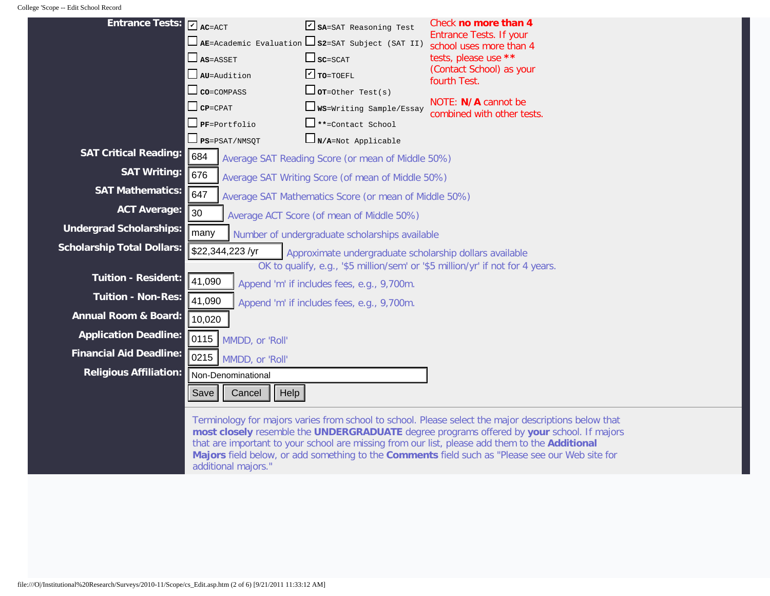| <b>Entrance Tests:</b>            | $V_{AC=ACT}$<br>$\Box$ as=asset<br>$\Box$ AU=Audition<br>$\Box$ co=compass<br>$\Box$ CP=CPAT<br>$\Box$ PF=Portfolio | SA=SAT Reasoning Test<br>$\Box$ AE=Academic Evaluation $\Box$ S2=SAT Subject (SAT II)<br>$\Box$ $SC = SCAT$<br>$\triangledown$ TO=TOEFL<br>$\Box$ or=Other Test(s)<br>WS=Writing Sample/Essay<br>**=Contact School | Check no more than 4<br><b>Entrance Tests. If your</b><br>school uses more than 4<br>tests, please use **<br>(Contact School) as your<br>fourth Test.<br>NOTE: N/A cannot be<br>combined with other tests. |
|-----------------------------------|---------------------------------------------------------------------------------------------------------------------|--------------------------------------------------------------------------------------------------------------------------------------------------------------------------------------------------------------------|------------------------------------------------------------------------------------------------------------------------------------------------------------------------------------------------------------|
|                                   | $\Box$ PS=PSAT/NMSQT                                                                                                | $\Box_{N/A=Not}$ Applicable                                                                                                                                                                                        |                                                                                                                                                                                                            |
| <b>SAT Critical Reading:</b>      | 684                                                                                                                 | Average SAT Reading Score (or mean of Middle 50%)                                                                                                                                                                  |                                                                                                                                                                                                            |
| <b>SAT Writing:</b>               | 676                                                                                                                 | Average SAT Writing Score (of mean of Middle 50%)                                                                                                                                                                  |                                                                                                                                                                                                            |
| <b>SAT Mathematics:</b>           | 647                                                                                                                 | Average SAT Mathematics Score (or mean of Middle 50%)                                                                                                                                                              |                                                                                                                                                                                                            |
| <b>ACT Average:</b>               | 30                                                                                                                  | Average ACT Score (of mean of Middle 50%)                                                                                                                                                                          |                                                                                                                                                                                                            |
| <b>Undergrad Scholarships:</b>    | many                                                                                                                | Number of undergraduate scholarships available                                                                                                                                                                     |                                                                                                                                                                                                            |
| <b>Scholarship Total Dollars:</b> | \$22,344,223/yr                                                                                                     | Approximate undergraduate scholarship dollars available                                                                                                                                                            |                                                                                                                                                                                                            |
|                                   |                                                                                                                     |                                                                                                                                                                                                                    | OK to qualify, e.g., '\$5 million/sem' or '\$5 million/yr' if not for 4 years.                                                                                                                             |
| <b>Tuition - Resident:</b>        | 41,090                                                                                                              | Append 'm' if includes fees, e.g., 9,700m.                                                                                                                                                                         |                                                                                                                                                                                                            |
| <b>Tuition - Non-Res:</b>         | 41,090                                                                                                              | Append 'm' if includes fees, e.g., 9,700m.                                                                                                                                                                         |                                                                                                                                                                                                            |
| <b>Annual Room &amp; Board:</b>   | 10,020                                                                                                              |                                                                                                                                                                                                                    |                                                                                                                                                                                                            |
| <b>Application Deadline:</b>      | 0115<br>MMDD, or 'Roll'                                                                                             |                                                                                                                                                                                                                    |                                                                                                                                                                                                            |
| <b>Financial Aid Deadline:</b>    | 0215<br>MMDD, or 'Roll'                                                                                             |                                                                                                                                                                                                                    |                                                                                                                                                                                                            |
| <b>Religious Affiliation:</b>     | Non-Denominational                                                                                                  |                                                                                                                                                                                                                    |                                                                                                                                                                                                            |
|                                   | Cancel<br>Save<br>Help                                                                                              |                                                                                                                                                                                                                    |                                                                                                                                                                                                            |
|                                   |                                                                                                                     |                                                                                                                                                                                                                    | Terminalson for majors varies from school to school. Disease schoot the major descriptions helpw the                                                                                                       |

Terminology for majors varies from school to school. Please select the major descriptions below that **most closely** resemble the **UNDERGRADUATE** degree programs offered by **your** school. If majors that are important to your school are missing from our list, please add them to the **Additional Majors** field below, or add something to the **Comments** field such as "Please see our Web site for additional majors."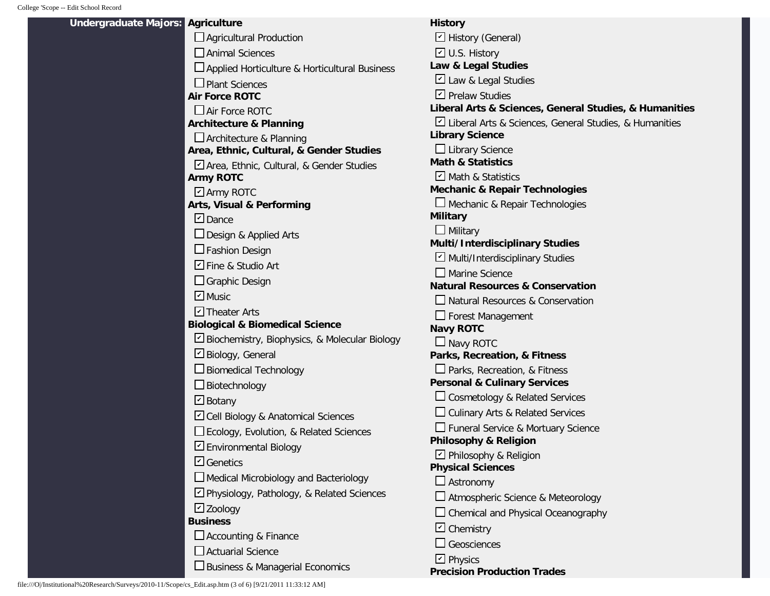**Undergraduate** 

| Majors: Agriculture                             | <b>History</b>                                         |
|-------------------------------------------------|--------------------------------------------------------|
| Agricultural Production                         | □ History (General)                                    |
| $\Box$ Animal Sciences                          | □ U.S. History                                         |
| □ Applied Horticulture & Horticultural Business | Law & Legal Studies                                    |
| $\Box$ Plant Sciences                           | Law & Legal Studies                                    |
| <b>Air Force ROTC</b>                           | $\Box$ Prelaw Studies                                  |
| $\Box$ Air Force ROTC                           | Liberal Arts & Sciences, General Studies, & Humanities |
| <b>Architecture &amp; Planning</b>              | Liberal Arts & Sciences, General Studies, & Humanities |
| $\Box$ Architecture & Planning                  | <b>Library Science</b>                                 |
| Area, Ethnic, Cultural, & Gender Studies        | $\Box$ Library Science                                 |
| Area, Ethnic, Cultural, & Gender Studies        | <b>Math &amp; Statistics</b>                           |
| <b>Army ROTC</b>                                | □ Math & Statistics                                    |
| ☑ Army ROTC                                     | <b>Mechanic &amp; Repair Technologies</b>              |
| <b>Arts, Visual &amp; Performing</b>            | □ Mechanic & Repair Technologies                       |
| $\n  Dance$                                     | <b>Military</b>                                        |
| □ Design & Applied Arts                         | $\Box$ Military                                        |
| $\Box$ Fashion Design                           | Multi/Interdisciplinary Studies                        |
| D Fine & Studio Art                             | Multi/Interdisciplinary Studies                        |
| $\Box$ Graphic Design                           | $\square$ Marine Science                               |
| $\blacksquare$ Music                            | <b>Natural Resources &amp; Conservation</b>            |
|                                                 | □ Natural Resources & Conservation                     |
| $\Box$ Theater Arts                             | $\Box$ Forest Management                               |
| <b>Biological &amp; Biomedical Science</b>      | <b>Navy ROTC</b>                                       |
| Biochemistry, Biophysics, & Molecular Biology   | $\Box$ Navy ROTC                                       |
| □ Biology, General                              | Parks, Recreation, & Fitness                           |
| Biomedical Technology                           | $\Box$ Parks, Recreation, & Fitness                    |
| $\Box$ Biotechnology                            | <b>Personal &amp; Culinary Services</b>                |
| $\Box$ Botany                                   | $\Box$ Cosmetology & Related Services                  |
| Cell Biology & Anatomical Sciences              | $\Box$ Culinary Arts & Related Services                |
| Ecology, Evolution, & Related Sciences          | Funeral Service & Mortuary Science                     |
| D Environmental Biology                         | <b>Philosophy &amp; Religion</b>                       |
| $\Box$ Genetics                                 | □ Philosophy & Religion                                |
|                                                 | <b>Physical Sciences</b>                               |
| Medical Microbiology and Bacteriology           | $\Box$ Astronomy                                       |
| Physiology, Pathology, & Related Sciences       | $\Box$ Atmospheric Science & Meteorology               |
| $\Box$ Zoology                                  | $\Box$ Chemical and Physical Oceanography              |
| <b>Business</b>                                 | $\boxdot$ Chemistry                                    |
| Accounting & Finance                            | $\Box$ Geosciences                                     |
| $\Box$ Actuarial Science                        | $\boxdot$ Physics                                      |
| □ Business & Managerial Economics               | <b>Precision Production Trades</b>                     |
|                                                 |                                                        |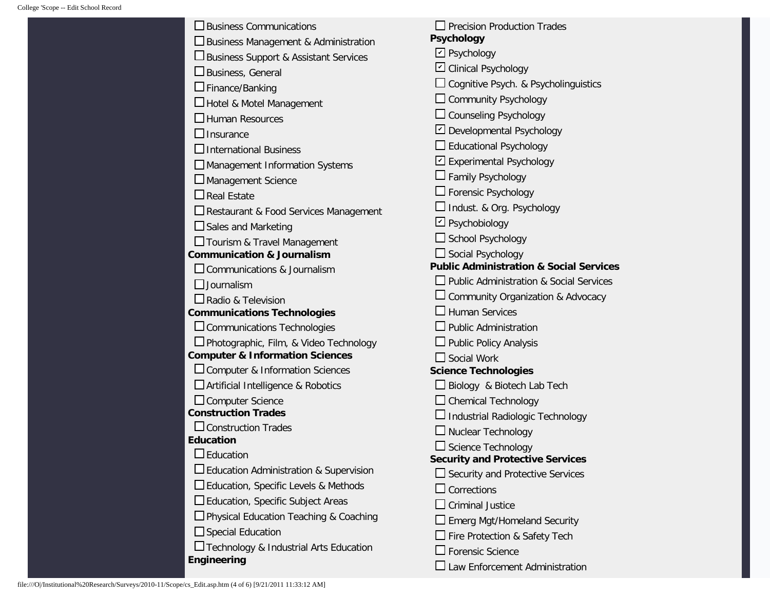| $\Box$ Business Communications<br>Business Management & Administration<br>□ Business Support & Assistant Services<br>$\square$ Business, General<br>$\Box$ Finance/Banking<br>□ Hotel & Motel Management<br>$\Box$ Human Resources<br>$\Box$ Insurance<br>$\Box$ International Business<br>$\Box$ Management Information Systems<br>∟Management Science<br>$\square$ Real Estate<br>□ Restaurant & Food Services Management<br>$\square$ Sales and Marketing<br>□ Tourism & Travel Management<br><b>Communication &amp; Journalism</b><br>Communications & Journalism<br>$\Box$ Journalism<br>$\Box$ Radio & Television<br><b>Communications Technologies</b><br>$\square$ Communications Technologies<br>Photographic, Film, & Video Technology<br><b>Computer &amp; Information Sciences</b><br>□ Computer & Information Sciences<br>□ Artificial Intelligence & Robotics<br>Computer Science<br><b>Construction Trades</b><br>$\Box$ Construction Trades<br><b>Education</b><br>$\mathsf{\mathsf{\mathsf{I}}}\,$ Education<br>$\Box$ Education Administration & Supervision | $\Box$ Precision Production Trades<br><b>Psychology</b><br>$\boxdot$ Psychology<br>□ Clinical Psychology<br>$\Box$ Cognitive Psych. & Psycholinguistics<br>$\Box$ Community Psychology<br>$\Box$ Counseling Psychology<br>Developmental Psychology<br>$\Box$ Educational Psychology<br>□ Experimental Psychology<br>$\Box$ Family Psychology<br>$\Box$ Forensic Psychology<br>□ Indust. & Org. Psychology<br>$\boxdot$ Psychobiology<br>□ School Psychology<br>$\Box$ Social Psychology<br><b>Public Administration &amp; Social Services</b><br>□ Public Administration & Social Services<br>$\Box$ Community Organization & Advocacy<br>J Human Services<br>$\Box$ Public Administration<br>J Public Policy Analysis<br>$\square$ Social Work<br><b>Science Technologies</b><br>Biology & Biotech Lab Tech<br>$\Box$ Chemical Technology<br>Industrial Radiologic Technology<br>□ Nuclear Technology<br>Science Technology<br><b>Security and Protective Services</b><br>$\Box$ Security and Protective Services |
|--------------------------------------------------------------------------------------------------------------------------------------------------------------------------------------------------------------------------------------------------------------------------------------------------------------------------------------------------------------------------------------------------------------------------------------------------------------------------------------------------------------------------------------------------------------------------------------------------------------------------------------------------------------------------------------------------------------------------------------------------------------------------------------------------------------------------------------------------------------------------------------------------------------------------------------------------------------------------------------------------------------------------------------------------------------------------------|--------------------------------------------------------------------------------------------------------------------------------------------------------------------------------------------------------------------------------------------------------------------------------------------------------------------------------------------------------------------------------------------------------------------------------------------------------------------------------------------------------------------------------------------------------------------------------------------------------------------------------------------------------------------------------------------------------------------------------------------------------------------------------------------------------------------------------------------------------------------------------------------------------------------------------------------------------------------------------------------------------------------|
|                                                                                                                                                                                                                                                                                                                                                                                                                                                                                                                                                                                                                                                                                                                                                                                                                                                                                                                                                                                                                                                                                |                                                                                                                                                                                                                                                                                                                                                                                                                                                                                                                                                                                                                                                                                                                                                                                                                                                                                                                                                                                                                    |
|                                                                                                                                                                                                                                                                                                                                                                                                                                                                                                                                                                                                                                                                                                                                                                                                                                                                                                                                                                                                                                                                                |                                                                                                                                                                                                                                                                                                                                                                                                                                                                                                                                                                                                                                                                                                                                                                                                                                                                                                                                                                                                                    |
|                                                                                                                                                                                                                                                                                                                                                                                                                                                                                                                                                                                                                                                                                                                                                                                                                                                                                                                                                                                                                                                                                |                                                                                                                                                                                                                                                                                                                                                                                                                                                                                                                                                                                                                                                                                                                                                                                                                                                                                                                                                                                                                    |
| □ Education, Specific Levels & Methods                                                                                                                                                                                                                                                                                                                                                                                                                                                                                                                                                                                                                                                                                                                                                                                                                                                                                                                                                                                                                                         |                                                                                                                                                                                                                                                                                                                                                                                                                                                                                                                                                                                                                                                                                                                                                                                                                                                                                                                                                                                                                    |
| $\square$ Education, Specific Subject Areas                                                                                                                                                                                                                                                                                                                                                                                                                                                                                                                                                                                                                                                                                                                                                                                                                                                                                                                                                                                                                                    | Corrections                                                                                                                                                                                                                                                                                                                                                                                                                                                                                                                                                                                                                                                                                                                                                                                                                                                                                                                                                                                                        |
| Physical Education Teaching & Coaching                                                                                                                                                                                                                                                                                                                                                                                                                                                                                                                                                                                                                                                                                                                                                                                                                                                                                                                                                                                                                                         | <b>Criminal Justice</b>                                                                                                                                                                                                                                                                                                                                                                                                                                                                                                                                                                                                                                                                                                                                                                                                                                                                                                                                                                                            |
| $\Box$ Special Education                                                                                                                                                                                                                                                                                                                                                                                                                                                                                                                                                                                                                                                                                                                                                                                                                                                                                                                                                                                                                                                       | □ Emerg Mgt/Homeland Security                                                                                                                                                                                                                                                                                                                                                                                                                                                                                                                                                                                                                                                                                                                                                                                                                                                                                                                                                                                      |
| Technology & Industrial Arts Education                                                                                                                                                                                                                                                                                                                                                                                                                                                                                                                                                                                                                                                                                                                                                                                                                                                                                                                                                                                                                                         | Fire Protection & Safety Tech                                                                                                                                                                                                                                                                                                                                                                                                                                                                                                                                                                                                                                                                                                                                                                                                                                                                                                                                                                                      |
| Engineering                                                                                                                                                                                                                                                                                                                                                                                                                                                                                                                                                                                                                                                                                                                                                                                                                                                                                                                                                                                                                                                                    | $\Box$ Forensic Science                                                                                                                                                                                                                                                                                                                                                                                                                                                                                                                                                                                                                                                                                                                                                                                                                                                                                                                                                                                            |
|                                                                                                                                                                                                                                                                                                                                                                                                                                                                                                                                                                                                                                                                                                                                                                                                                                                                                                                                                                                                                                                                                | Law Enforcement Administration                                                                                                                                                                                                                                                                                                                                                                                                                                                                                                                                                                                                                                                                                                                                                                                                                                                                                                                                                                                     |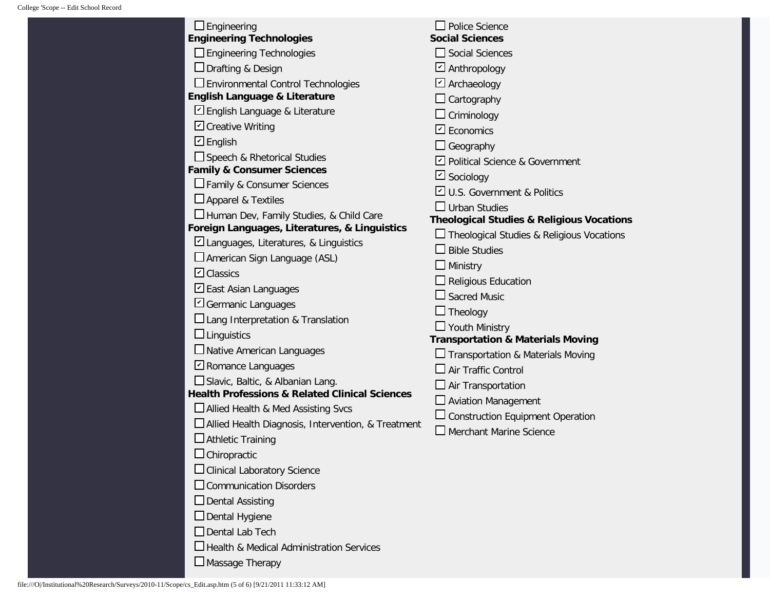| $\Box$ Engineering                                 | $\Box$ Police Science                                                                                                                                                                                                                                                                                                                                                                                                                                                            |
|----------------------------------------------------|----------------------------------------------------------------------------------------------------------------------------------------------------------------------------------------------------------------------------------------------------------------------------------------------------------------------------------------------------------------------------------------------------------------------------------------------------------------------------------|
| <b>Engineering Technologies</b>                    | <b>Social Sciences</b>                                                                                                                                                                                                                                                                                                                                                                                                                                                           |
| $\Box$ Engineering Technologies                    | $\Box$ Social Sciences                                                                                                                                                                                                                                                                                                                                                                                                                                                           |
| $\Box$ Drafting & Design                           | $\boxdot$ Anthropology                                                                                                                                                                                                                                                                                                                                                                                                                                                           |
| □ Environmental Control Technologies               | $\boxdot$ Archaeology                                                                                                                                                                                                                                                                                                                                                                                                                                                            |
|                                                    | Cartography                                                                                                                                                                                                                                                                                                                                                                                                                                                                      |
|                                                    | $\Box$ Criminology                                                                                                                                                                                                                                                                                                                                                                                                                                                               |
|                                                    | $\boxdot$ Economics                                                                                                                                                                                                                                                                                                                                                                                                                                                              |
| $\boxdot$ English                                  | $\Box$ Geography                                                                                                                                                                                                                                                                                                                                                                                                                                                                 |
| Speech & Rhetorical Studies                        | ☑ Political Science & Government                                                                                                                                                                                                                                                                                                                                                                                                                                                 |
|                                                    | □ Sociology                                                                                                                                                                                                                                                                                                                                                                                                                                                                      |
|                                                    | U.S. Government & Politics                                                                                                                                                                                                                                                                                                                                                                                                                                                       |
|                                                    | $\Box$ Urban Studies                                                                                                                                                                                                                                                                                                                                                                                                                                                             |
| Human Dev, Family Studies, & Child Care            | <b>Theological Studies &amp; Religious Vocations</b>                                                                                                                                                                                                                                                                                                                                                                                                                             |
|                                                    | $\Box$ Theological Studies & Religious Vocations                                                                                                                                                                                                                                                                                                                                                                                                                                 |
|                                                    | <b>Bible Studies</b>                                                                                                                                                                                                                                                                                                                                                                                                                                                             |
|                                                    | Ministry                                                                                                                                                                                                                                                                                                                                                                                                                                                                         |
|                                                    | Religious Education                                                                                                                                                                                                                                                                                                                                                                                                                                                              |
| East Asian Languages                               | $\mathsf{\mathsf{I}}$ Sacred Music                                                                                                                                                                                                                                                                                                                                                                                                                                               |
|                                                    | $\Box$ Theology                                                                                                                                                                                                                                                                                                                                                                                                                                                                  |
| $\Box$ Lang Interpretation & Translation           | $\Box$ Youth Ministry                                                                                                                                                                                                                                                                                                                                                                                                                                                            |
| $\Box$ Linguistics                                 | <b>Transportation &amp; Materials Moving</b>                                                                                                                                                                                                                                                                                                                                                                                                                                     |
| $\Box$ Native American Languages                   | $\Box$ Transportation & Materials Moving                                                                                                                                                                                                                                                                                                                                                                                                                                         |
| $\Box$ Romance Languages                           | Air Traffic Control                                                                                                                                                                                                                                                                                                                                                                                                                                                              |
| Slavic, Baltic, & Albanian Lang.                   | $\Box$ Air Transportation                                                                                                                                                                                                                                                                                                                                                                                                                                                        |
|                                                    | $\Box$ Aviation Management                                                                                                                                                                                                                                                                                                                                                                                                                                                       |
| □ Allied Health & Med Assisting Svcs               | <b>Construction Equipment Operation</b>                                                                                                                                                                                                                                                                                                                                                                                                                                          |
| Allied Health Diagnosis, Intervention, & Treatment | $\Box$ Merchant Marine Science                                                                                                                                                                                                                                                                                                                                                                                                                                                   |
| $\Box$ Athletic Training                           |                                                                                                                                                                                                                                                                                                                                                                                                                                                                                  |
|                                                    |                                                                                                                                                                                                                                                                                                                                                                                                                                                                                  |
| □ Clinical Laboratory Science                      |                                                                                                                                                                                                                                                                                                                                                                                                                                                                                  |
| $\square$ Communication Disorders                  |                                                                                                                                                                                                                                                                                                                                                                                                                                                                                  |
| $\Box$ Dental Assisting                            |                                                                                                                                                                                                                                                                                                                                                                                                                                                                                  |
| $\Box$ Dental Hygiene                              |                                                                                                                                                                                                                                                                                                                                                                                                                                                                                  |
| $\Box$ Dental Lab Tech                             |                                                                                                                                                                                                                                                                                                                                                                                                                                                                                  |
| $\square$ Health & Medical Administration Services |                                                                                                                                                                                                                                                                                                                                                                                                                                                                                  |
| $\Box$ Massage Therapy                             |                                                                                                                                                                                                                                                                                                                                                                                                                                                                                  |
|                                                    | English Language & Literature<br>English Language & Literature<br>□ Creative Writing<br><b>Family &amp; Consumer Sciences</b><br>□ Family & Consumer Sciences<br>$\Box$ Apparel & Textiles<br>Foreign Languages, Literatures, & Linguistics<br>□ Languages, Literatures, & Linguistics<br>$\square$ American Sign Language (ASL)<br>$\overline{\mathbf{C}}$ Classics<br>⊔ Germanic Languages<br><b>Health Professions &amp; Related Clinical Sciences</b><br>$\Box$ Chiropractic |